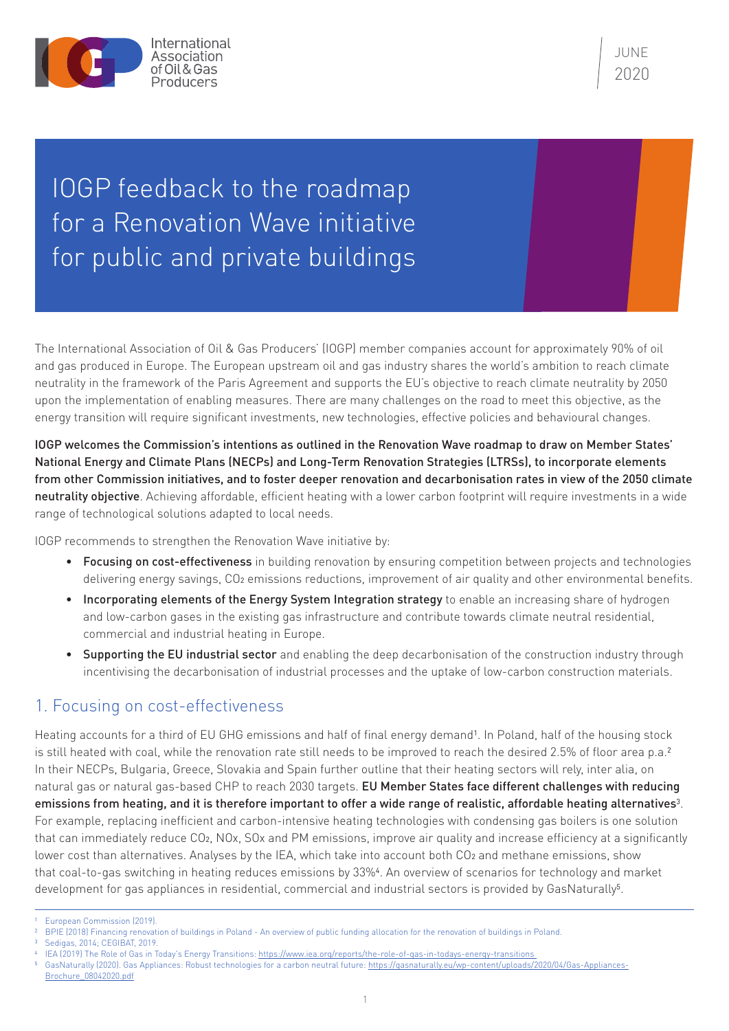

**JUNE** 2020

## IOGP feedback to the roadmap for a Renovation Wave initiative for public and private buildings

The International Association of Oil & Gas Producers' (IOGP) member companies account for approximately 90% of oil and gas produced in Europe. The European upstream oil and gas industry shares the world's ambition to reach climate neutrality in the framework of the Paris Agreement and supports the EU's objective to reach climate neutrality by 2050 upon the implementation of enabling measures. There are many challenges on the road to meet this objective, as the energy transition will require significant investments, new technologies, effective policies and behavioural changes.

IOGP welcomes the Commission's intentions as outlined in the Renovation Wave roadmap to draw on Member States' National Energy and Climate Plans (NECPs) and Long-Term Renovation Strategies (LTRSs), to incorporate elements from other Commission initiatives, and to foster deeper renovation and decarbonisation rates in view of the 2050 climate neutrality objective. Achieving affordable, efficient heating with a lower carbon footprint will require investments in a wide range of technological solutions adapted to local needs.

IOGP recommends to strengthen the Renovation Wave initiative by:

- Focusing on cost-effectiveness in building renovation by ensuring competition between projects and technologies delivering energy savings, CO<sub>2</sub> emissions reductions, improvement of air quality and other environmental benefits.
- Incorporating elements of the Energy System Integration strategy to enable an increasing share of hydrogen and low-carbon gases in the existing gas infrastructure and contribute towards climate neutral residential, commercial and industrial heating in Europe.
- Supporting the EU industrial sector and enabling the deep decarbonisation of the construction industry through incentivising the decarbonisation of industrial processes and the uptake of low-carbon construction materials.

## 1. Focusing on cost-effectiveness

Heating accounts for a third of EU GHG emissions and half of final energy demand<sup>1</sup>. In Poland, half of the housing stock is still heated with coal, while the renovation rate still needs to be improved to reach the desired 2.5% of floor area p.a.<sup>2</sup> In their NECPs, Bulgaria, Greece, Slovakia and Spain further outline that their heating sectors will rely, inter alia, on natural gas or natural gas-based CHP to reach 2030 targets. EU Member States face different challenges with reducing emissions from heating, and it is therefore important to offer a wide range of realistic, affordable heating alternatives<sup>3</sup>. For example, replacing inefficient and carbon-intensive heating technologies with condensing gas boilers is one solution that can immediately reduce CO2, NOx, SOx and PM emissions, improve air quality and increase efficiency at a significantly lower cost than alternatives. Analyses by the IEA, which take into account both CO<sub>2</sub> and methane emissions, show that coal-to-gas switching in heating reduces emissions by 33%4. An overview of scenarios for technology and market development for gas appliances in residential, commercial and industrial sectors is provided by GasNaturally<sup>5</sup>.

- 2 BPIE (2018) Financing renovation of buildings in Poland An overview of public funding allocation for the renovation of buildings in Poland.
- Sedigas, 2014; CEGIBAT, 2019.

GasNaturally (2020). Gas Appliances: Robust technologies for a carbon neutral future: [https://gasnaturally.eu/wp-content/uploads/2020/04/Gas-Appliances-](https://gasnaturally.eu/wp-content/uploads/2020/04/Gas-Appliances-Brochure_08042020.pdf)[Brochure\\_08042020.pdf](https://gasnaturally.eu/wp-content/uploads/2020/04/Gas-Appliances-Brochure_08042020.pdf)

<sup>1</sup> European Commission (2019).

IEA (2019) The Role of Gas in Today's Energy Transitions: https://www.iea.org/reports/the-role-of-gas-in-todays-energy-transitions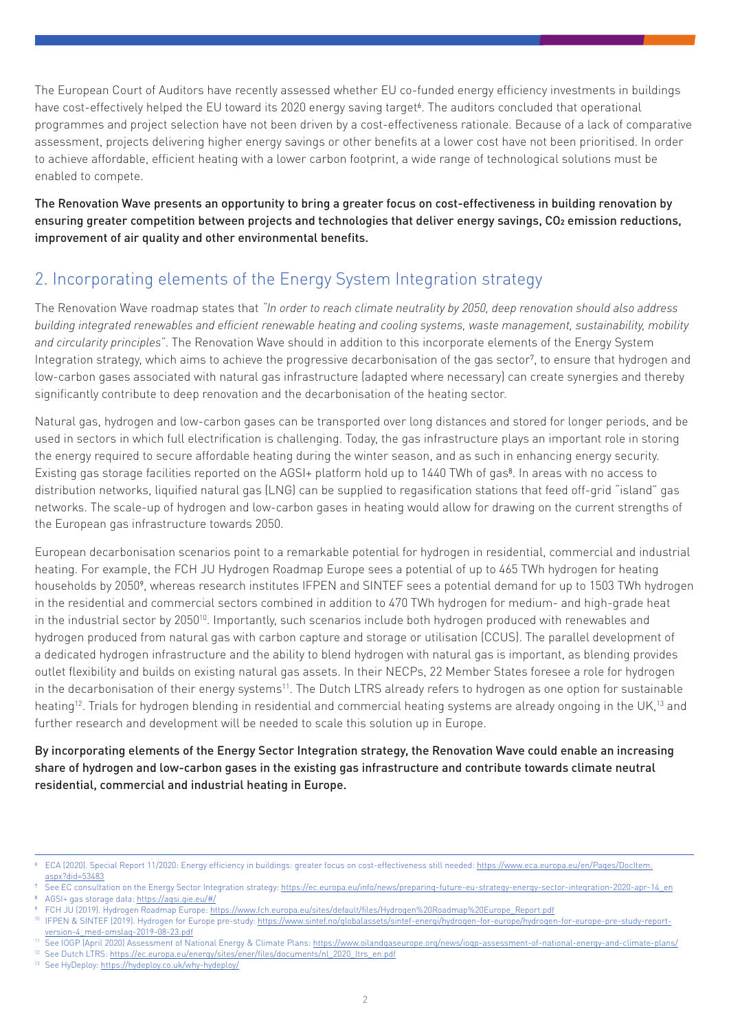The European Court of Auditors have recently assessed whether EU co-funded energy efficiency investments in buildings have cost-effectively helped the EU toward its 2020 energy saving target<sup>6</sup>. The auditors concluded that operational programmes and project selection have not been driven by a cost-effectiveness rationale. Because of a lack of comparative assessment, projects delivering higher energy savings or other benefits at a lower cost have not been prioritised. In order to achieve affordable, efficient heating with a lower carbon footprint, a wide range of technological solutions must be enabled to compete.

The Renovation Wave presents an opportunity to bring a greater focus on cost-effectiveness in building renovation by ensuring greater competition between projects and technologies that deliver energy savings, CO2 emission reductions, improvement of air quality and other environmental benefits.

## 2. Incorporating elements of the Energy System Integration strategy

The Renovation Wave roadmap states that *"In order to reach climate neutrality by 2050, deep renovation should also address building integrated renewables and efficient renewable heating and cooling systems, waste management, sustainability, mobility and circularity principles"*. The Renovation Wave should in addition to this incorporate elements of the Energy System Integration strategy, which aims to achieve the progressive decarbonisation of the gas sector7, to ensure that hydrogen and low-carbon gases associated with natural gas infrastructure (adapted where necessary) can create synergies and thereby significantly contribute to deep renovation and the decarbonisation of the heating sector.

Natural gas, hydrogen and low-carbon gases can be transported over long distances and stored for longer periods, and be used in sectors in which full electrification is challenging. Today, the gas infrastructure plays an important role in storing the energy required to secure affordable heating during the winter season, and as such in enhancing energy security. Existing gas storage facilities reported on the AGSI+ platform hold up to 1440 TWh of gas<sup>8</sup>. In areas with no access to distribution networks, liquified natural gas (LNG) can be supplied to regasification stations that feed off-grid "island" gas networks. The scale-up of hydrogen and low-carbon gases in heating would allow for drawing on the current strengths of the European gas infrastructure towards 2050.

European decarbonisation scenarios point to a remarkable potential for hydrogen in residential, commercial and industrial heating. For example, the FCH JU Hydrogen Roadmap Europe sees a potential of up to 465 TWh hydrogen for heating households by 20509, whereas research institutes IFPEN and SINTEF sees a potential demand for up to 1503 TWh hydrogen in the residential and commercial sectors combined in addition to 470 TWh hydrogen for medium- and high-grade heat in the industrial sector by 2050<sup>10</sup>. Importantly, such scenarios include both hydrogen produced with renewables and hydrogen produced from natural gas with carbon capture and storage or utilisation (CCUS). The parallel development of a dedicated hydrogen infrastructure and the ability to blend hydrogen with natural gas is important, as blending provides outlet flexibility and builds on existing natural gas assets. In their NECPs, 22 Member States foresee a role for hydrogen in the decarbonisation of their energy systems<sup>11</sup>. The Dutch LTRS already refers to hydrogen as one option for sustainable heating<sup>12</sup>. Trials for hydrogen blending in residential and commercial heating systems are already ongoing in the UK,<sup>13</sup> and further research and development will be needed to scale this solution up in Europe.

By incorporating elements of the Energy Sector Integration strategy, the Renovation Wave could enable an increasing share of hydrogen and low-carbon gases in the existing gas infrastructure and contribute towards climate neutral residential, commercial and industrial heating in Europe.

<sup>13</sup> See HyDeploy:<https://hydeploy.co.uk/why-hydeploy/>

<sup>6</sup> ECA (2020). Special Report 11/2020: Energy efficiency in buildings: greater focus on cost-effectiveness still needed: [https://www.eca.europa.eu/en/Pages/DocItem.](https://www.eca.europa.eu/en/Pages/DocItem.aspx?did=53483) [aspx?did=53483](https://www.eca.europa.eu/en/Pages/DocItem.aspx?did=53483)

See EC consultation on the Energy Sector Integration strategy: [https://ec.europa.eu/info/news/preparing-future-eu-strategy-energy-sector-integration-2020-apr-14\\_en](https://ec.europa.eu/info/news/preparing-future-eu-strategy-energy-sector-integration-2020-apr-14_en) 8 AGSI+ gas storage data: <https://agsi.gie.eu/#/>

<sup>9</sup> FCH JU (2019). Hydrogen Roadmap Europe: [https://www.fch.europa.eu/sites/default/files/Hydrogen%20Roadmap%20Europe\\_Report.pdf](https://www.fch.europa.eu/sites/default/files/Hydrogen%20Roadmap%20Europe_Report.pdf)

<sup>&</sup>lt;sup>10</sup> IFPEN & SINTEF (2019). Hydrogen for Europe pre-study: [https://www.sintef.no/globalassets/sintef-energi/hydrogen-for-europe/hydrogen-for-europe-pre-study-report](https://www.sintef.no/globalassets/sintef-energi/hydrogen-for-europe/hydrogen-for-europe-pre-study-report-version-4_med-omslag-2019-08-23.pdf)[version-4\\_med-omslag-2019-08-23.pdf](https://www.sintef.no/globalassets/sintef-energi/hydrogen-for-europe/hydrogen-for-europe-pre-study-report-version-4_med-omslag-2019-08-23.pdf) <sup>11</sup> See IOGP (April 2020) Assessment of National Energy & Climate Plans: <https://www.oilandgaseurope.org/news/iogp-assessment-of-national-energy-and-climate-plans/>

<sup>&</sup>lt;sup>12</sup> See Dutch LTRS: [https://ec.europa.eu/energy/sites/ener/files/documents/nl\\_2020\\_ltrs\\_en.pdf](https://ec.europa.eu/energy/sites/ener/files/documents/nl_2020_ltrs_en.pdf)